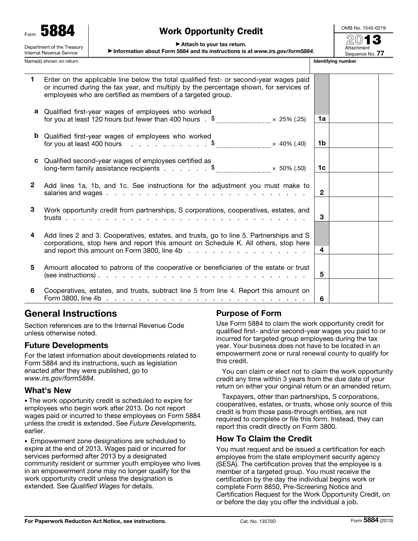Form 5884 Department of the Treasury

Internal Revenue Service

# Work Opportunity Credit

OMB No. 1545-0219

#### ▶ Attach to your tax return.

▶ Information about Form 5884 and its instructions is at *www.irs.gov/form5884.*

 $\mathcal{D}(0)$ Attachment Sequence No. 77

| Name(s) shown on return |                                                                                                                                                                                                                                                                                                                                                                                                                                                                                                                               |                | <b>Identifying number</b> |  |  |
|-------------------------|-------------------------------------------------------------------------------------------------------------------------------------------------------------------------------------------------------------------------------------------------------------------------------------------------------------------------------------------------------------------------------------------------------------------------------------------------------------------------------------------------------------------------------|----------------|---------------------------|--|--|
| 1.                      | Enter on the applicable line below the total qualified first- or second-year wages paid<br>or incurred during the tax year, and multiply by the percentage shown, for services of<br>employees who are certified as members of a targeted group.                                                                                                                                                                                                                                                                              |                |                           |  |  |
|                         | a Qualified first-year wages of employees who worked<br>for you at least 120 hours but fewer than 400 hours $\frac{1}{2}$ $\frac{1}{2}$ $\frac{1}{2}$ $\times$ 25% (.25)                                                                                                                                                                                                                                                                                                                                                      | 1a             |                           |  |  |
|                         | <b>b</b> Qualified first-year wages of employees who worked<br>for you at least 400 hours $\therefore$ $\therefore$ $\therefore$ $\therefore$ $\therefore$ $\therefore$ $\therefore$ $\therefore$ $\therefore$ $\therefore$ $\therefore$ $\therefore$ $\therefore$ $\therefore$ $\therefore$ $\therefore$ $\therefore$ $\therefore$ $\therefore$ $\therefore$ $\therefore$ $\therefore$ $\therefore$ $\therefore$ $\therefore$ $\therefore$ $\therefore$ $\therefore$ $\therefore$ $\therefore$ $\therefore$ $\therefore$ $\$ | 1b             |                           |  |  |
| C                       | Qualified second-year wages of employees certified as<br>long-term family assistance recipients $\sqrt{2}$ $\frac{1}{2}$ $\frac{1}{2}$ $\frac{1}{2}$ $\frac{1}{2}$ $\frac{1}{2}$ $\frac{1}{2}$ $\frac{1}{2}$ $\frac{1}{2}$ $\frac{1}{2}$ $\frac{1}{2}$ $\frac{1}{2}$ $\frac{1}{2}$ $\frac{1}{2}$ $\frac{1}{2}$ $\frac{1}{2}$ $\frac{1}{2}$ $\frac{$                                                                                                                                                                           | 1 <sub>c</sub> |                           |  |  |
| $\mathbf{2}$            | Add lines 1a, 1b, and 1c. See instructions for the adjustment you must make to                                                                                                                                                                                                                                                                                                                                                                                                                                                | $\mathbf{2}$   |                           |  |  |
| 3                       | Work opportunity credit from partnerships, S corporations, cooperatives, estates, and                                                                                                                                                                                                                                                                                                                                                                                                                                         | 3              |                           |  |  |
| 4                       | Add lines 2 and 3. Cooperatives, estates, and trusts, go to line 5. Partnerships and S<br>corporations, stop here and report this amount on Schedule K. All others, stop here                                                                                                                                                                                                                                                                                                                                                 | 4              |                           |  |  |
| 5                       | Amount allocated to patrons of the cooperative or beneficiaries of the estate or trust                                                                                                                                                                                                                                                                                                                                                                                                                                        | 5              |                           |  |  |
| 6                       | Cooperatives, estates, and trusts, subtract line 5 from line 4. Report this amount on                                                                                                                                                                                                                                                                                                                                                                                                                                         | 6              |                           |  |  |

# General Instructions

Section references are to the Internal Revenue Code unless otherwise noted.

# Future Developments

For the latest information about developments related to Form 5884 and its instructions, such as legislation enacted after they were published, go to *www.irs.gov/form5884*.

## What's New

• The work opportunity credit is scheduled to expire for employees who begin work after 2013. Do not report wages paid or incurred to these employees on Form 5884 unless the credit is extended. See *Future Developments,*  earlier.

• Empowerment zone designations are scheduled to expire at the end of 2013. Wages paid or incurred for services performed after 2013 by a designated community resident or summer youth employee who lives in an empowerment zone may no longer qualify for the work opportunity credit unless the designation is extended. See *Qualified Wages* for details.

# Purpose of Form

Use Form 5884 to claim the work opportunity credit for qualified first- and/or second-year wages you paid to or incurred for targeted group employees during the tax year. Your business does not have to be located in an empowerment zone or rural renewal county to qualify for this credit.

You can claim or elect not to claim the work opportunity credit any time within 3 years from the due date of your return on either your original return or an amended return.

Taxpayers, other than partnerships, S corporations, cooperatives, estates, or trusts, whose only source of this credit is from those pass-through entities, are not required to complete or file this form. Instead, they can report this credit directly on Form 3800.

## How To Claim the Credit

You must request and be issued a certification for each employee from the state employment security agency (SESA). The certification proves that the employee is a member of a targeted group. You must receive the certification by the day the individual begins work or complete Form 8850, Pre-Screening Notice and Certification Request for the Work Opportunity Credit, on or before the day you offer the individual a job.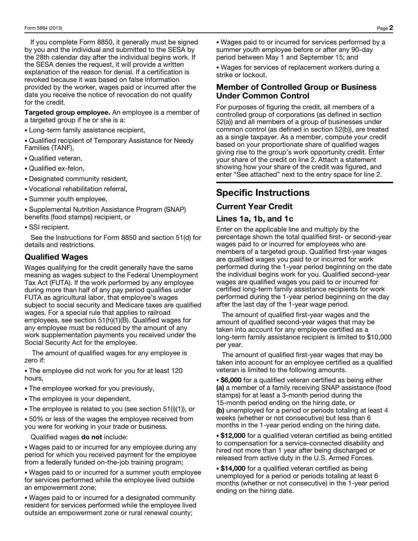If you complete Form 8850, it generally must be signed by you and the individual and submitted to the SESA by the 28th calendar day after the individual begins work. If the SESA denies the request, it will provide a written explanation of the reason for denial. If a certification is revoked because it was based on false information provided by the worker, wages paid or incurred after the date you receive the notice of revocation do not qualify for the credit.

Targeted group employee. An employee is a member of a targeted group if he or she is a:

- Long-term family assistance recipient,
- Qualified recipient of Temporary Assistance for Needy Families (TANF),
- Qualified veteran,
- Qualified ex-felon,
- Designated community resident,
- Vocational rehabilitation referral,
- Summer youth employee,

• Supplemental Nutrition Assistance Program (SNAP) benefits (food stamps) recipient, or

• SSI recipient.

See the Instructions for Form 8850 and section 51(d) for details and restrictions.

## Qualified Wages

Wages qualifying for the credit generally have the same meaning as wages subject to the Federal Unemployment Tax Act (FUTA). If the work performed by any employee during more than half of any pay period qualifies under FUTA as agricultural labor, that employee's wages subject to social security and Medicare taxes are qualified wages. For a special rule that applies to railroad employees, see section 51(h)(1)(B). Qualified wages for any employee must be reduced by the amount of any work supplementation payments you received under the Social Security Act for the employee.

The amount of qualified wages for any employee is zero if:

• The employee did not work for you for at least 120 hours,

- The employee worked for you previously,
- The employee is your dependent,
- The employee is related to you (see section 51(i)(1)), or

• 50% or less of the wages the employee received from you were for working in your trade or business.

#### Qualified wages do not include:

• Wages paid to or incurred for any employee during any period for which you received payment for the employee from a federally funded on-the-job training program;

• Wages paid to or incurred for a summer youth employee for services performed while the employee lived outside an empowerment zone;

• Wages paid to or incurred for a designated community resident for services performed while the employee lived outside an empowerment zone or rural renewal county;

• Wages paid to or incurred for services performed by a summer youth employee before or after any 90-day period between May 1 and September 15; and

• Wages for services of replacement workers during a strike or lockout.

## Member of Controlled Group or Business Under Common Control

For purposes of figuring the credit, all members of a controlled group of corporations (as defined in section 52(a)) and all members of a group of businesses under common control (as defined in section 52(b)), are treated as a single taxpayer. As a member, compute your credit based on your proportionate share of qualified wages giving rise to the group's work opportunity credit. Enter your share of the credit on line 2. Attach a statement showing how your share of the credit was figured, and enter "See attached" next to the entry space for line 2.

# Specific Instructions

# Current Year Credit

## Lines 1a, 1b, and 1c

Enter on the applicable line and multiply by the percentage shown the total qualified first- or second-year wages paid to or incurred for employees who are members of a targeted group. Qualified first-year wages are qualified wages you paid to or incurred for work performed during the 1-year period beginning on the date the individual begins work for you. Qualified second-year wages are qualified wages you paid to or incurred for certified long-term family assistance recipients for work performed during the 1-year period beginning on the day after the last day of the 1-year wage period.

The amount of qualified first-year wages and the amount of qualified second-year wages that may be taken into account for any employee certified as a long-term family assistance recipient is limited to \$10,000 per year.

The amount of qualified first-year wages that may be taken into account for an employee certified as a qualified veteran is limited to the following amounts.

• \$6,000 for a qualified veteran certified as being either (a) a member of a family receiving SNAP assistance (food stamps) for at least a 3-month period during the 15-month period ending on the hiring date, or (b) unemployed for a period or periods totaling at least 4 weeks (whether or not consecutive) but less than 6 months in the 1-year period ending on the hiring date.

• \$12,000 for a qualified veteran certified as being entitled to compensation for a service-connected disability and hired not more than 1 year after being discharged or released from active duty in the U.S. Armed Forces.

• \$14,000 for a qualified veteran certified as being unemployed for a period or periods totaling at least 6 months (whether or not consecutive) in the 1-year period ending on the hiring date.